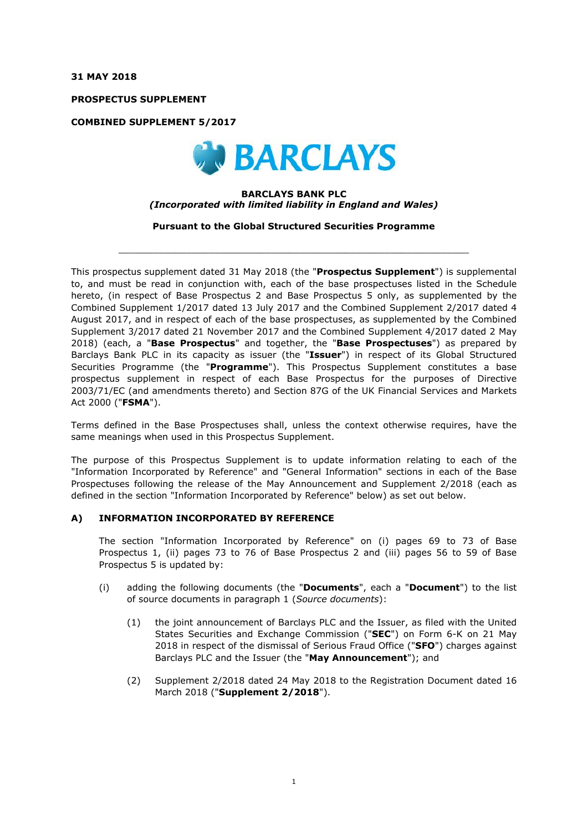**31 MAY 2018**

**PROSPECTUS SUPPLEMENT**

**COMBINED SUPPLEMENT 5/2017**



#### **BARCLAYS BANK PLC** *(Incorporated with limited liability in England and Wales)*

**Pursuant to the Global Structured Securities Programme**

 $\_$  ,  $\_$  ,  $\_$  ,  $\_$  ,  $\_$  ,  $\_$  ,  $\_$  ,  $\_$  ,  $\_$  ,  $\_$  ,  $\_$  ,  $\_$  ,  $\_$  ,  $\_$  ,  $\_$  ,  $\_$  ,  $\_$  ,  $\_$  ,  $\_$  ,  $\_$  ,  $\_$  ,  $\_$  ,  $\_$  ,  $\_$  ,  $\_$  ,  $\_$  ,  $\_$  ,  $\_$  ,  $\_$  ,  $\_$  ,  $\_$  ,  $\_$  ,  $\_$  ,  $\_$  ,  $\_$  ,  $\_$  ,  $\_$  ,

This prospectus supplement dated 31 May 2018 (the "**Prospectus Supplement**") is supplemental to, and must be read in conjunction with, each of the base prospectuses listed in the Schedule hereto, (in respect of Base Prospectus 2 and Base Prospectus 5 only, as supplemented by the Combined Supplement 1/2017 dated 13 July 2017 and the Combined Supplement 2/2017 dated 4 August 2017, and in respect of each of the base prospectuses, as supplemented by the Combined Supplement 3/2017 dated 21 November 2017 and the Combined Supplement 4/2017 dated 2 May 2018) (each, a "**Base Prospectus**" and together, the "**Base Prospectuses**") as prepared by Barclays Bank PLC in its capacity as issuer (the "**Issuer**") in respect of its Global Structured Securities Programme (the "**Programme**"). This Prospectus Supplement constitutes a base prospectus supplement in respect of each Base Prospectus for the purposes of Directive 2003/71/EC (and amendments thereto) and Section 87G of the UK Financial Services and Markets Act 2000 ("**FSMA**").

Terms defined in the Base Prospectuses shall, unless the context otherwise requires, have the same meanings when used in this Prospectus Supplement.

The purpose of this Prospectus Supplement is to update information relating to each of the "Information Incorporated by Reference" and "General Information" sections in each of the Base Prospectuses following the release of the May Announcement and Supplement 2/2018 (each as defined in the section "Information Incorporated by Reference" below) as set out below.

## **A) INFORMATION INCORPORATED BY REFERENCE**

The section "Information Incorporated by Reference" on (i) pages 69 to 73 of Base Prospectus 1, (ii) pages 73 to 76 of Base Prospectus 2 and (iii) pages 56 to 59 of Base Prospectus 5 is updated by:

- (i) adding the following documents (the "**Documents**", each a "**Document**") to the list of source documents in paragraph 1 (*Source documents*):
	- (1) the joint announcement of Barclays PLC and the Issuer, as filed with the United States Securities and Exchange Commission ("**SEC**") on Form 6-K on 21 May 2018 in respect of the dismissal of Serious Fraud Office ("**SFO**") charges against Barclays PLC and the Issuer (the "**May Announcement**"); and
	- (2) Supplement 2/2018 dated 24 May 2018 to the Registration Document dated 16 March 2018 ("**Supplement 2/2018**").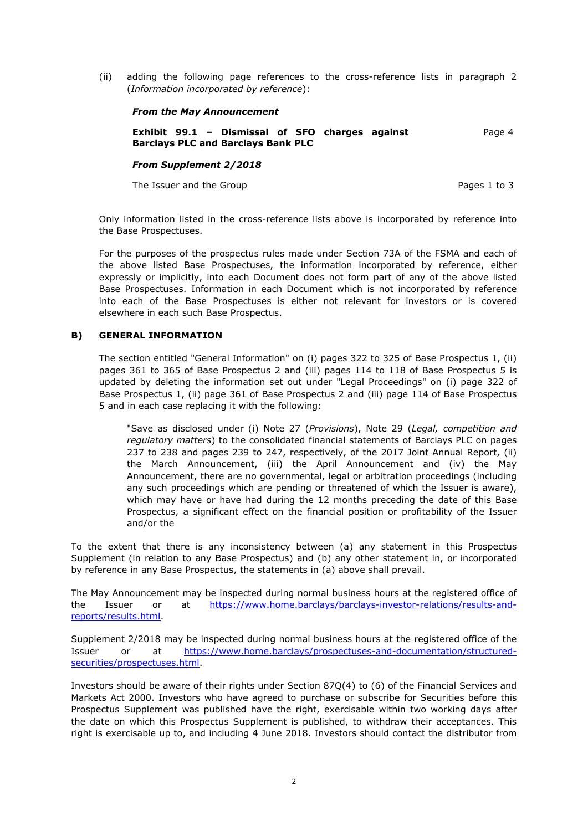(ii) adding the following page references to the cross-reference lists in paragraph 2 (*Information incorporated by reference*):

#### *From the May Announcement*

**Exhibit 99.1 – Dismissal of SFO charges against Barclays PLC and Barclays Bank PLC** Page 4

#### *From Supplement 2/2018*

The Issuer and the Group **Pages 1** to 3

Only information listed in the cross-reference lists above is incorporated by reference into the Base Prospectuses.

For the purposes of the prospectus rules made under Section 73A of the FSMA and each of the above listed Base Prospectuses, the information incorporated by reference, either expressly or implicitly, into each Document does not form part of any of the above listed Base Prospectuses. Information in each Document which is not incorporated by reference into each of the Base Prospectuses is either not relevant for investors or is covered elsewhere in each such Base Prospectus.

## **B) GENERAL INFORMATION**

The section entitled "General Information" on (i) pages 322 to 325 of Base Prospectus 1, (ii) pages 361 to 365 of Base Prospectus 2 and (iii) pages 114 to 118 of Base Prospectus 5 is updated by deleting the information set out under "Legal Proceedings" on (i) page 322 of Base Prospectus 1, (ii) page 361 of Base Prospectus 2 and (iii) page 114 of Base Prospectus 5 and in each case replacing it with the following:

"Save as disclosed under (i) Note 27 (*Provisions*), Note 29 (*Legal, competition and regulatory matters*) to the consolidated financial statements of Barclays PLC on pages 237 to 238 and pages 239 to 247, respectively, of the 2017 Joint Annual Report, (ii) the March Announcement, (iii) the April Announcement and (iv) the May Announcement, there are no governmental, legal or arbitration proceedings (including any such proceedings which are pending or threatened of which the Issuer is aware), which may have or have had during the 12 months preceding the date of this Base Prospectus, a significant effect on the financial position or profitability of the Issuer and/or the

To the extent that there is any inconsistency between (a) any statement in this Prospectus Supplement (in relation to any Base Prospectus) and (b) any other statement in, or incorporated by reference in any Base Prospectus, the statements in (a) above shall prevail.

The May Announcement may be inspected during normal business hours at the registered office of [the Issuer or at https://www.home.barclays/barclays-investor-relations/results-and](https://www.home.barclays/barclays-investor-relations/results-and-reports/results.html)reports/results.html.

Supplement 2/2018 may be inspected during normal business hours at the registered office of the [Issuer or at https://www.home.barclays/prospectuses-and-documentation/structured](https://www.home.barclays/prospectuses-and-documentation/structured-securities/prospectuses.html)securities/prospectuses.html.

Investors should be aware of their rights under Section 87Q(4) to (6) of the Financial Services and Markets Act 2000. Investors who have agreed to purchase or subscribe for Securities before this Prospectus Supplement was published have the right, exercisable within two working days after the date on which this Prospectus Supplement is published, to withdraw their acceptances. This right is exercisable up to, and including 4 June 2018. Investors should contact the distributor from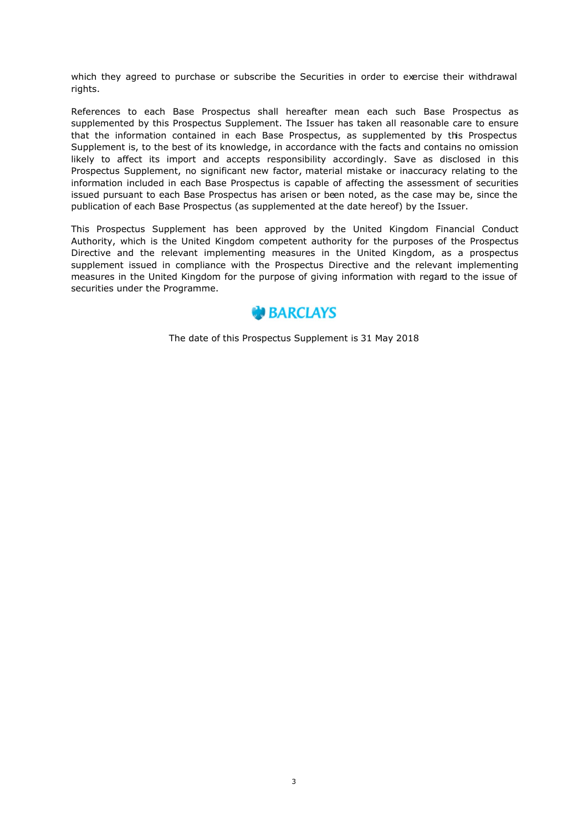which they agreed to purchase or subscribe the Securities in order to exercise their withdrawal rights.

References to each Base Prospectus shall hereafter mean each such Base Prospectus as supplemented by this Prospectus Supplement. The Issuer has taken all reasonable care to ensure that the information contained in each Base Prospectus, as supplemented by this Prospectus Supplement is, to the best of its knowledge, in accordance with the facts and contains no omission likely to affect its import and accepts responsibility accordingly. Save as disclosed in this Prospectus Supplement, no significant new factor, material mistake or inaccuracy relating to the information included in each Base Prospectus is capable of affecting the assessment of securities issued pursuant to each Base Prospectus has arisen or been noted, as the case may be, since the publication of each Base Prospectus (as supplemented at the date hereof) by the Issuer.

This Prospectus Supplement has been approved by the United Kingdom Financial Conduct Authority, which is the United Kingdom competent authority for the purposes of the Prospectus Directive and the relevant implementing measures in the United Kingdom, as a prospectus supplement issued in compliance with the Prospectus Directive and the relevant implementing measures in the United Kingdom for the purpose of giving information with regard to the issue of securities under the Programme.



The date of this Prospectus Supplement is 31 May 2018